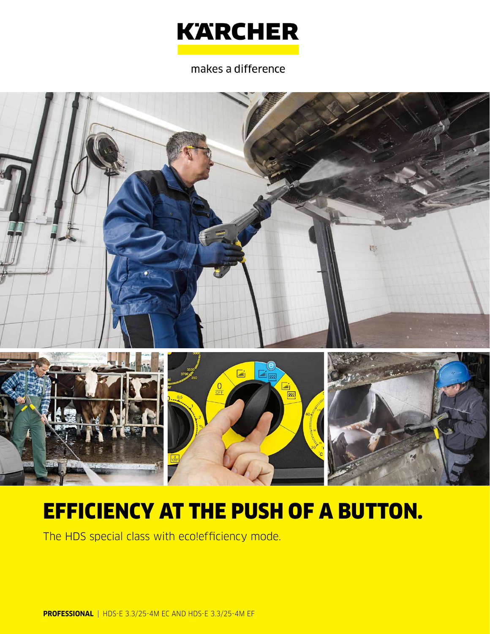

### makes a difference



# EFFICIENCY AT THE PUSH OF A BUTTON.

The HDS special class with eco!efficiency mode.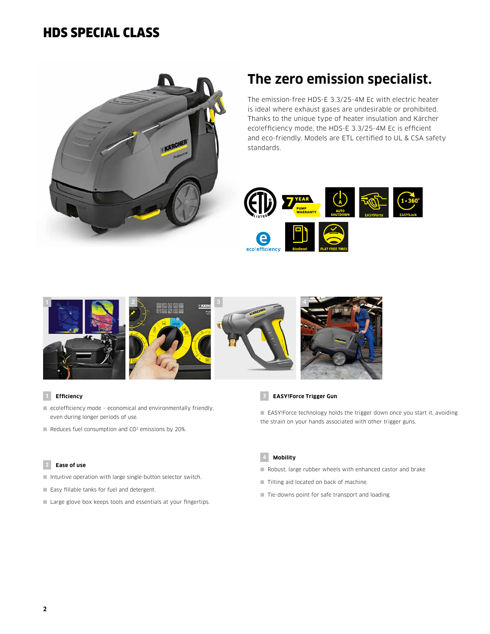### HDS SPECIAL CLASS



# **The zero emission specialist.**

The emission-free HDS-E 3.3/25-4M Ec with electric heater is ideal where exhaust gases are undesirable or prohibited. Thanks to the unique type of heater insulation and Kärcher eco!efficiency mode, the HDS-E 3.3/25-4M Ec is efficient and eco-friendly. Models are ETL certified to UL & CSA safety standards.





#### **1 Efficiency**

- eco!efficiency mode economical and environmentally friendly, even during longer periods of use.
- Reduces fuel consumption and CO<sup>2</sup> emissions by 20%.

#### **2 Ease of use**

- Intuitive operation with large single-button selector switch.
- Easy fillable tanks for fuel and detergent.
- Large glove box keeps tools and essentials at your fingertips.



■ EASY!Force technology holds the trigger down once you start it, avoiding the strain on your hands associated with other trigger guns.



- Robust, large rubber wheels with enhanced castor and brake.
- Tilting aid located on back of machine.
- Tie-downs point for safe transport and loading.